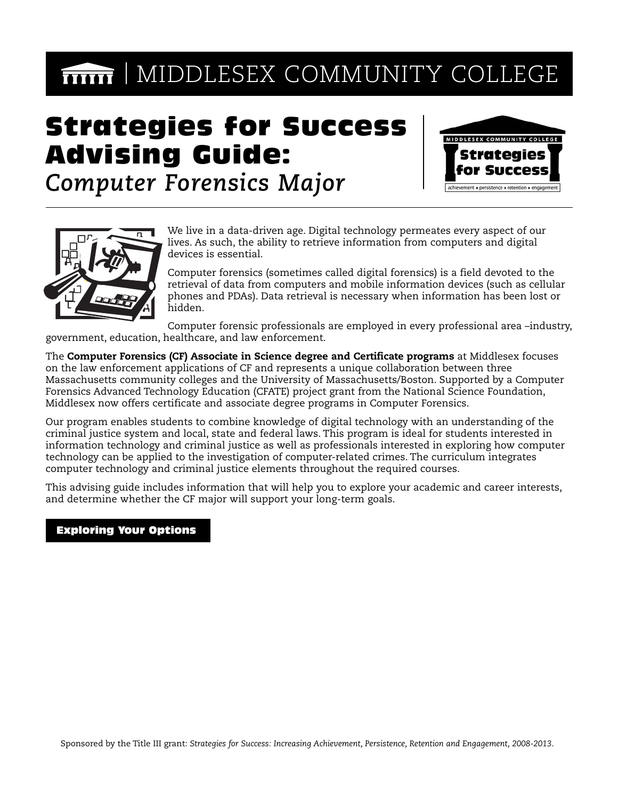# **MIDDLESEX COMMUNITY COLLEGE**

# Strategies for Success Advising Guide:



*Computer Forensics Major*



We live in a data-driven age. Digital technology permeates every aspect of our lives. As such, the ability to retrieve information from computers and digital devices is essential.

Computer forensics (sometimes called digital forensics) is a field devoted to the retrieval of data from computers and mobile information devices (such as cellular phones and PDAs). Data retrieval is necessary when information has been lost or hidden.

Computer forensic professionals are employed in every professional area –industry, government, education, healthcare, and law enforcement.

The **Computer Forensics (CF) Associate in Science degree and Certificate programs** at Middlesex focuses on the law enforcement applications of CF and represents a unique collaboration between three Massachusetts community colleges and the University of Massachusetts/Boston. Supported by a Computer Forensics Advanced Technology Education (CFATE) project grant from the National Science Foundation, Middlesex now offers certificate and associate degree programs in Computer Forensics.

Our program enables students to combine knowledge of digital technology with an understanding of the criminal justice system and local, state and federal laws. This program is ideal for students interested in information technology and criminal justice as well as professionals interested in exploring how computer technology can be applied to the investigation of computer-related crimes. The curriculum integrates computer technology and criminal justice elements throughout the required courses.

This advising guide includes information that will help you to explore your academic and career interests, and determine whether the CF major will support your long-term goals.

### Exploring Your Options

Before deciding upon a major, you should take some time to explore your interests and develop your longterm academic, career, and personal goals. You should meet with your advisor at least 3 times per semester. Below, is a listing of activities to help you with your self-exploration and identify your interests. These activities are for your first year or during your first 30 credits at MCC.

During the first few weeks of your first semester at Middlesex, schedule an appointment to meet with your advisor to get acquainted, discuss your future plans and how the Computer Forensics program can help you to achieve your goals.

Complete the Focus2 online career assessment tool which is located on our website at **www.middlesex.mass.edu/careerservices/FOCUS2.htm**. After completing FOCUS2, schedule a meeting to discuss your results with a Career Counselor. Call 1-800-818-3434 or visit the Academic, Career and Transfer Centers in Lowell and Bedford to schedule your career counseling appointment.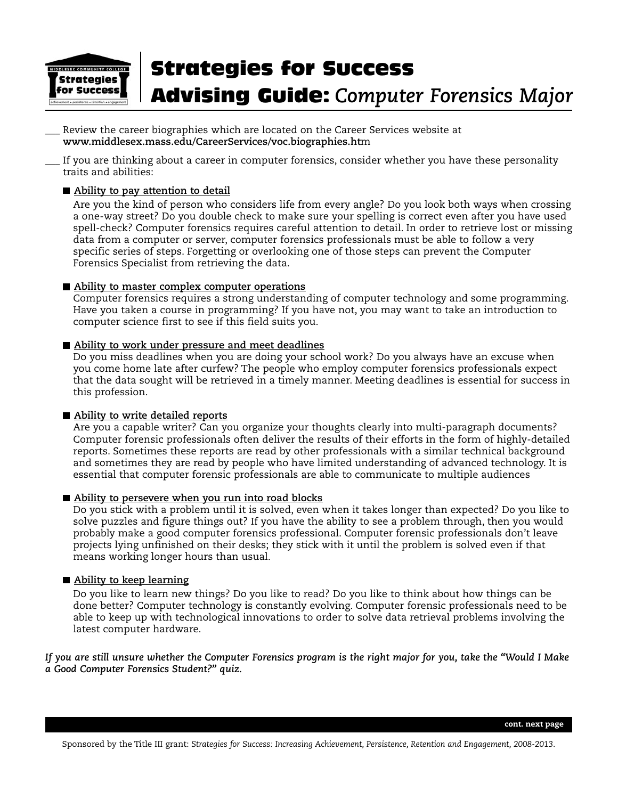

Review the career biographies which are located on the Career Services website at **www.middlesex.mass.edu/CareerServices/voc.biographies.ht**m

If you are thinking about a career in computer forensics, consider whether you have these personality traits and abilities:

#### **Ability to pay attention to detail**

Are you the kind of person who considers life from every angle? Do you look both ways when crossing a one-way street? Do you double check to make sure your spelling is correct even after you have used spell-check? Computer forensics requires careful attention to detail. In order to retrieve lost or missing data from a computer or server, computer forensics professionals must be able to follow a very specific series of steps. Forgetting or overlooking one of those steps can prevent the Computer Forensics Specialist from retrieving the data.

#### **Ability to master complex computer operations**

Computer forensics requires a strong understanding of computer technology and some programming. Have you taken a course in programming? If you have not, you may want to take an introduction to computer science first to see if this field suits you.

### **Ability to work under pressure and meet deadlines**

Do you miss deadlines when you are doing your school work? Do you always have an excuse when you come home late after curfew? The people who employ computer forensics professionals expect that the data sought will be retrieved in a timely manner. Meeting deadlines is essential for success in this profession.

### **Ability to write detailed reports**

Are you a capable writer? Can you organize your thoughts clearly into multi-paragraph documents? Computer forensic professionals often deliver the results of their efforts in the form of highly-detailed reports. Sometimes these reports are read by other professionals with a similar technical background and sometimes they are read by people who have limited understanding of advanced technology. It is essential that computer forensic professionals are able to communicate to multiple audiences

### **Ability to persevere when you run into road blocks**

Do you stick with a problem until it is solved, even when it takes longer than expected? Do you like to solve puzzles and figure things out? If you have the ability to see a problem through, then you would probably make a good computer forensics professional. Computer forensic professionals don't leave projects lying unfinished on their desks; they stick with it until the problem is solved even if that means working longer hours than usual.

### **Ability to keep learning**

Do you like to learn new things? Do you like to read? Do you like to think about how things can be done better? Computer technology is constantly evolving. Computer forensic professionals need to be able to keep up with technological innovations to order to solve data retrieval problems involving the latest computer hardware.

*If you are still unsure whether the Computer Forensics program is the right major for you, take the "Would I Make a Good Computer Forensics Student?" quiz.*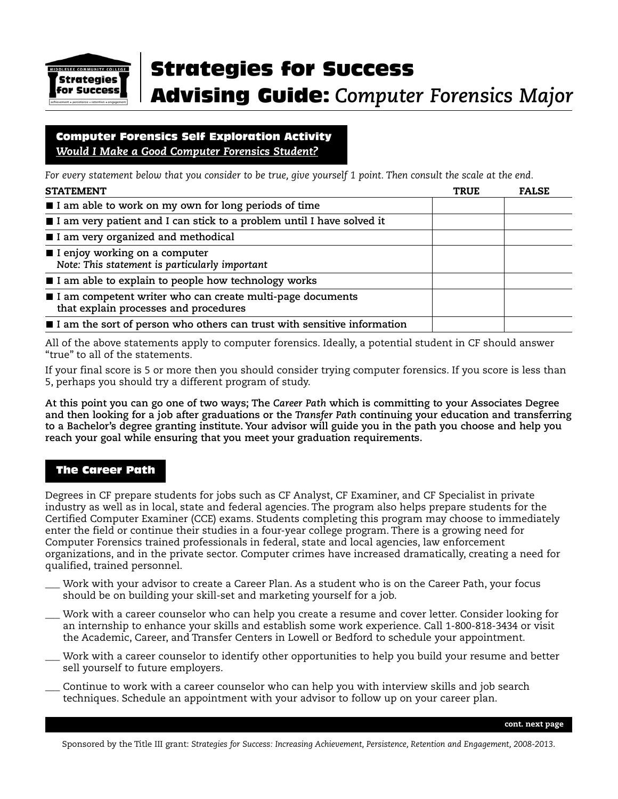

### Computer Forensics Self Exploration Activity *Would I Make a Good Computer Forensics Student?*

*For every statement below that you consider to be true, give yourself 1 point. Then consult the scale at the end.*

| <b>STATEMENT</b>                                                                                   | <b>TRUE</b> | <b>FALSE</b> |
|----------------------------------------------------------------------------------------------------|-------------|--------------|
| I am able to work on my own for long periods of time                                               |             |              |
| I I am very patient and I can stick to a problem until I have solved it                            |             |              |
| I am very organized and methodical                                                                 |             |              |
| I enjoy working on a computer<br>Note: This statement is particularly important                    |             |              |
| I I am able to explain to people how technology works                                              |             |              |
| I am competent writer who can create multi-page documents<br>that explain processes and procedures |             |              |
| I am the sort of person who others can trust with sensitive information                            |             |              |

All of the above statements apply to computer forensics. Ideally, a potential student in CF should answer "true" to all of the statements.

If your final score is 5 or more then you should consider trying computer forensics. If you score is less than 5, perhaps you should try a different program of study.

**At this point you can go one of two ways; The** *Career Path* **which is committing to your Associates Degree and then looking for a job after graduations or the** *Transfer Path* **continuing your education and transferring to a Bachelor's degree granting institute. Your advisor will guide you in the path you choose and help you reach your goal while ensuring that you meet your graduation requirements.** 

### The Career Path

Degrees in CF prepare students for jobs such as CF Analyst, CF Examiner, and CF Specialist in private industry as well as in local, state and federal agencies. The program also helps prepare students for the Certified Computer Examiner (CCE) exams. Students completing this program may choose to immediately enter the field or continue their studies in a four-year college program. There is a growing need for Computer Forensics trained professionals in federal, state and local agencies, law enforcement organizations, and in the private sector. Computer crimes have increased dramatically, creating a need for qualified, trained personnel.

- Work with your advisor to create a Career Plan. As a student who is on the Career Path, your focus should be on building your skill-set and marketing yourself for a job.
- \_\_\_ Work with a career counselor who can help you create a resume and cover letter. Consider looking for an internship to enhance your skills and establish some work experience. Call 1-800-818-3434 or visit the Academic, Career, and Transfer Centers in Lowell or Bedford to schedule your appointment.
- Work with a career counselor to identify other opportunities to help you build your resume and better sell yourself to future employers.
- \_\_\_ Continue to work with a career counselor who can help you with interview skills and job search techniques. Schedule an appointment with your advisor to follow up on your career plan.

**cont. next page**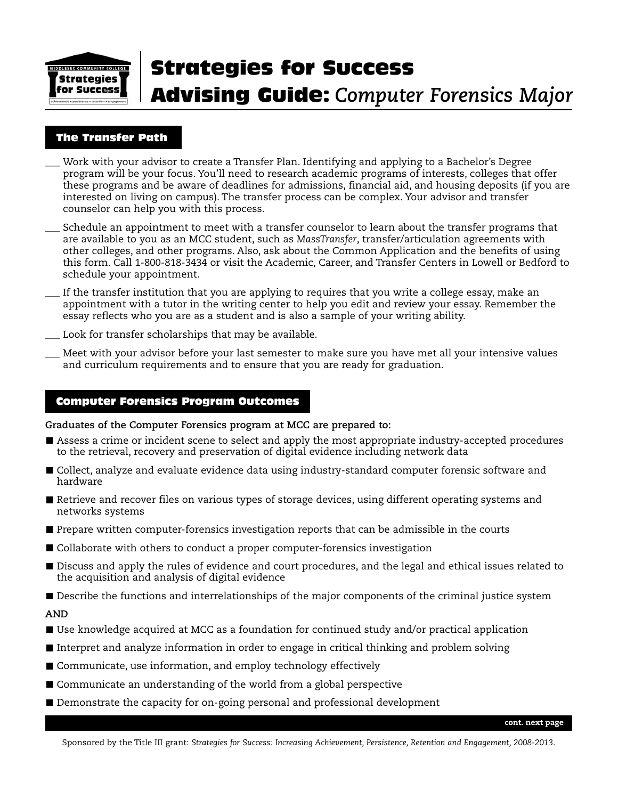

### The Transfer Path

- Work with your advisor to create a Transfer Plan. Identifying and applying to a Bachelor's Degree program will be your focus. You'll need to research academic programs of interests, colleges that offer these programs and be aware of deadlines for admissions, financial aid, and housing deposits (if you are interested on living on campus). The transfer process can be complex. Your advisor and transfer counselor can help you with this process.
- Schedule an appointment to meet with a transfer counselor to learn about the transfer programs that are available to you as an MCC student, such as *MassTransfer*, transfer/articulation agreements with other colleges, and other programs. Also, ask about the Common Application and the benefits of using this form. Call 1-800-818-3434 or visit the Academic, Career, and Transfer Centers in Lowell or Bedford to schedule your appointment.
- If the transfer institution that you are applying to requires that you write a college essay, make an appointment with a tutor in the writing center to help you edit and review your essay. Remember the essay reflects who you are as a student and is also a sample of your writing ability.
- Look for transfer scholarships that may be available.
- \_\_\_ Meet with your advisor before your last semester to make sure you have met all your intensive values and curriculum requirements and to ensure that you are ready for graduation.

### Computer Forensics Program Outcomes

**Graduates of the Computer Forensics program at MCC are prepared to:**

- Assess a crime or incident scene to select and apply the most appropriate industry-accepted procedures to the retrieval, recovery and preservation of digital evidence including network data
- Collect, analyze and evaluate evidence data using industry-standard computer forensic software and hardware
- Retrieve and recover files on various types of storage devices, using different operating systems and networks systems
- **Prepare written computer-forensics investigation reports that can be admissible in the courts**
- Collaborate with others to conduct a proper computer-forensics investigation
- Discuss and apply the rules of evidence and court procedures, and the legal and ethical issues related to the acquisition and analysis of digital evidence
- **Describe the functions and interrelationships of the major components of the criminal justice system**

### **AND**

- Use knowledge acquired at MCC as a foundation for continued study and/or practical application
- Interpret and analyze information in order to engage in critical thinking and problem solving
- Communicate, use information, and employ technology effectively
- Communicate an understanding of the world from a global perspective
- **Demonstrate the capacity for on-going personal and professional development**

Sponsored by the Title III grant: *Strategies for Success: Increasing Achievement, Persistence, Retention and Engagement, 2008-2013*.